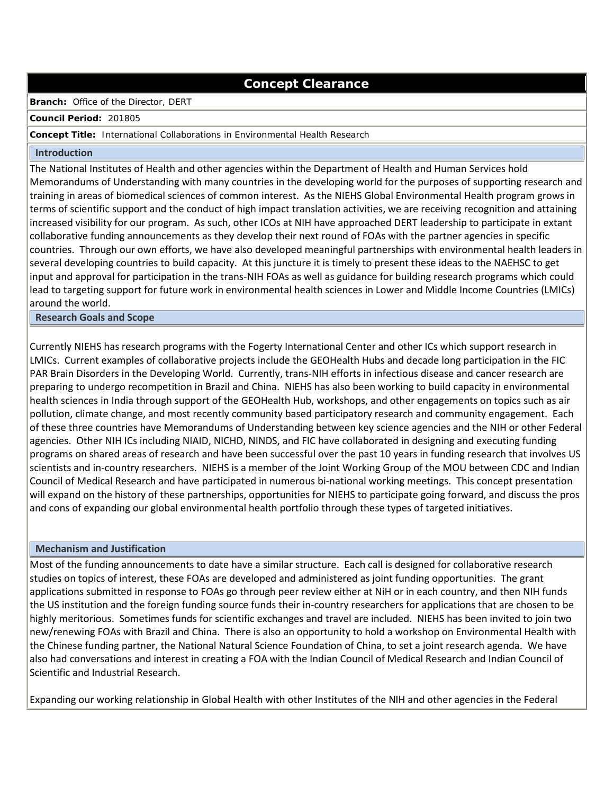# **Concept Clearance**

## **Branch:** Office of the Director, DERT

#### **Council Period:** 201805

## **Concept Title:** International Collaborations in Environmental Health Research

#### **Introduction**

The National Institutes of Health and other agencies within the Department of Health and Human Services hold Memorandums of Understanding with many countries in the developing world for the purposes of supporting research and training in areas of biomedical sciences of common interest. As the NIEHS Global Environmental Health program grows in terms of scientific support and the conduct of high impact translation activities, we are receiving recognition and attaining increased visibility for our program. As such, other ICOs at NIH have approached DERT leadership to participate in extant collaborative funding announcements as they develop their next round of FOAs with the partner agencies in specific countries. Through our own efforts, we have also developed meaningful partnerships with environmental health leaders in several developing countries to build capacity. At this juncture it is timely to present these ideas to the NAEHSC to get input and approval for participation in the trans-NIH FOAs as well as guidance for building research programs which could lead to targeting support for future work in environmental health sciences in Lower and Middle Income Countries (LMICs) around the world.

## **Research Goals and Scope**

Currently NIEHS has research programs with the Fogerty International Center and other ICs which support research in LMICs. Current examples of collaborative projects include the GEOHealth Hubs and decade long participation in the FIC PAR Brain Disorders in the Developing World. Currently, trans-NIH efforts in infectious disease and cancer research are preparing to undergo recompetition in Brazil and China. NIEHS has also been working to build capacity in environmental health sciences in India through support of the GEOHealth Hub, workshops, and other engagements on topics such as air pollution, climate change, and most recently community based participatory research and community engagement. Each of these three countries have Memorandums of Understanding between key science agencies and the NIH or other Federal agencies. Other NIH ICs including NIAID, NICHD, NINDS, and FIC have collaborated in designing and executing funding programs on shared areas of research and have been successful over the past 10 years in funding research that involves US scientists and in-country researchers. NIEHS is a member of the Joint Working Group of the MOU between CDC and Indian Council of Medical Research and have participated in numerous bi-national working meetings. This concept presentation will expand on the history of these partnerships, opportunities for NIEHS to participate going forward, and discuss the pros and cons of expanding our global environmental health portfolio through these types of targeted initiatives.

# **Mechanism and Justification**

Most of the funding announcements to date have a similar structure. Each call is designed for collaborative research studies on topics of interest, these FOAs are developed and administered as joint funding opportunities. The grant applications submitted in response to FOAs go through peer review either at NiH or in each country, and then NIH funds the US institution and the foreign funding source funds their in-country researchers for applications that are chosen to be highly meritorious. Sometimes funds for scientific exchanges and travel are included. NIEHS has been invited to join two new/renewing FOAs with Brazil and China. There is also an opportunity to hold a workshop on Environmental Health with the Chinese funding partner, the National Natural Science Foundation of China, to set a joint research agenda. We have also had conversations and interest in creating a FOA with the Indian Council of Medical Research and Indian Council of Scientific and Industrial Research.

Expanding our working relationship in Global Health with other Institutes of the NIH and other agencies in the Federal